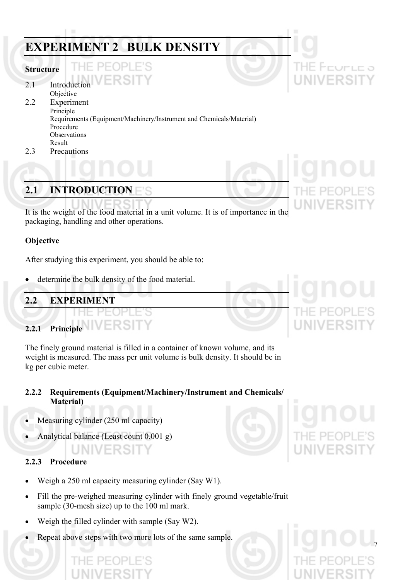# **EXPERIMENT 2 BULK DENSITY**

#### **Structure**

2.1 Introduction

-11-

Objective 2.2 Experiment Principle Requirements (Equipment/Machinery/Instrument and Chemicals/Material) Procedure **Observations** Result

F'S

2.3 Precautions

## **2.1 INTRODUCTION**

It is the weight of the food material in a unit volume. It is of importance in the packaging, handling and other operations.

#### **Objective**

After studying this experiment, you should be able to:

determine the bulk density of the food material.

## **2.2 EXPERIMENT**

### **2.2.1 Principle**

The finely ground material is filled in a container of known volume, and its weight is measured. The mass per unit volume is bulk density. It should be in kg per cubic meter.

#### **2.2.2 Requirements (Equipment/Machinery/Instrument and Chemicals/ Material)**

- Measuring cylinder (250 ml capacity)
- Analytical balance (Least count 0.001 g)

## NIVERSITY

#### **2.2.3 Procedure**

- Weigh a 250 ml capacity measuring cylinder (Say W1).
- Fill the pre-weighed measuring cylinder with finely ground vegetable/fruit sample (30-mesh size) up to the 100 ml mark.
- Weigh the filled cylinder with sample (Say W2).

PF

• Repeat above steps with two more lots of the same sample.

Prurur a

FRSIT